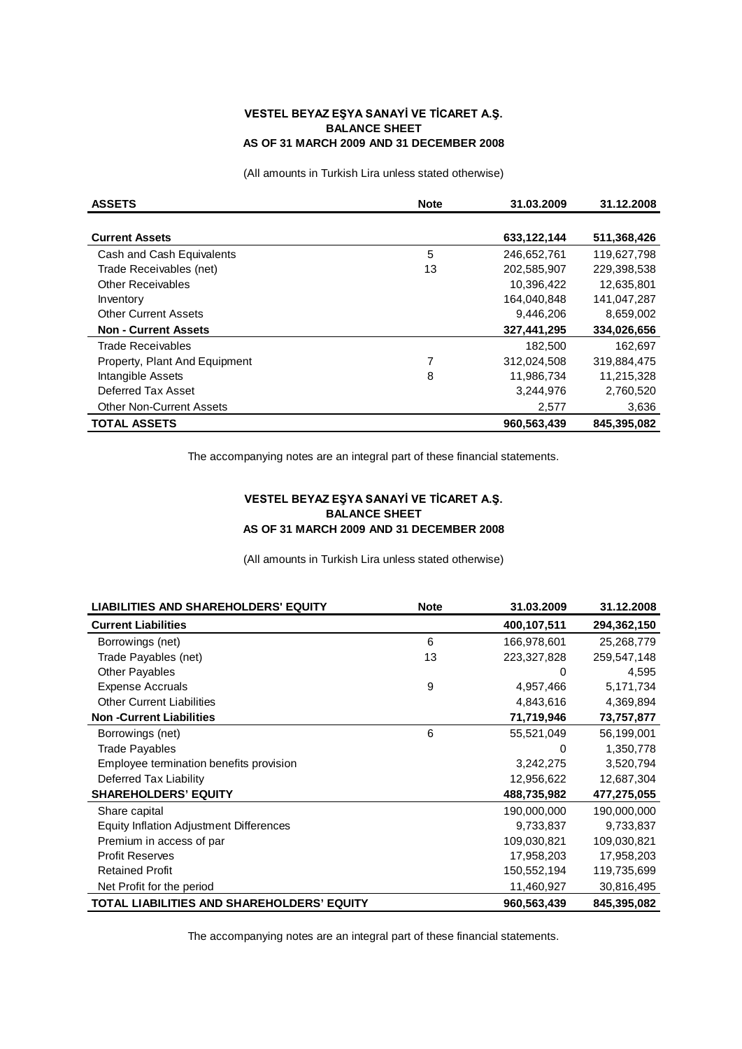## **VESTEL BEYAZ EŞYA SANAYİ VE TİCARET A.Ş. BALANCE SHEET AS OF 31 MARCH 2009 AND 31 DECEMBER 2008**

(All amounts in Turkish Lira unless stated otherwise)

| <b>ASSETS</b>                   | <b>Note</b> | 31.03.2009  | 31.12.2008  |
|---------------------------------|-------------|-------------|-------------|
|                                 |             |             |             |
| <b>Current Assets</b>           |             | 633,122,144 | 511,368,426 |
| Cash and Cash Equivalents       | 5           | 246,652,761 | 119,627,798 |
| Trade Receivables (net)         | 13          | 202.585.907 | 229.398.538 |
| <b>Other Receivables</b>        |             | 10,396,422  | 12,635,801  |
| Inventory                       |             | 164,040,848 | 141,047,287 |
| <b>Other Current Assets</b>     |             | 9,446,206   | 8,659,002   |
| <b>Non - Current Assets</b>     |             | 327,441,295 | 334,026,656 |
| Trade Receivables               |             | 182,500     | 162,697     |
| Property, Plant And Equipment   | 7           | 312,024,508 | 319,884,475 |
| Intangible Assets               | 8           | 11,986,734  | 11,215,328  |
| Deferred Tax Asset              |             | 3,244,976   | 2,760,520   |
| <b>Other Non-Current Assets</b> |             | 2,577       | 3,636       |
| <b>TOTAL ASSETS</b>             |             | 960,563,439 | 845.395.082 |

The accompanying notes are an integral part of these financial statements.

## **VESTEL BEYAZ EŞYA SANAYİ VE TİCARET A.Ş. BALANCE SHEET AS OF 31 MARCH 2009 AND 31 DECEMBER 2008**

(All amounts in Turkish Lira unless stated otherwise)

| <b>LIABILITIES AND SHAREHOLDERS' EQUITY</b> | <b>Note</b> | 31.03.2009  | 31.12.2008  |
|---------------------------------------------|-------------|-------------|-------------|
| <b>Current Liabilities</b>                  |             | 400,107,511 | 294,362,150 |
| Borrowings (net)                            | 6           | 166,978,601 | 25,268,779  |
| Trade Payables (net)                        | 13          | 223,327,828 | 259,547,148 |
| <b>Other Payables</b>                       |             | 0           | 4,595       |
| <b>Expense Accruals</b>                     | 9           | 4,957,466   | 5,171,734   |
| <b>Other Current Liabilities</b>            |             | 4,843,616   | 4,369,894   |
| <b>Non-Current Liabilities</b>              |             | 71,719,946  | 73,757,877  |
| Borrowings (net)                            | 6           | 55,521,049  | 56,199,001  |
| <b>Trade Payables</b>                       |             | 0           | 1,350,778   |
| Employee termination benefits provision     |             | 3,242,275   | 3,520,794   |
| Deferred Tax Liability                      |             | 12,956,622  | 12,687,304  |
| <b>SHAREHOLDERS' EQUITY</b>                 |             | 488,735,982 | 477,275,055 |
| Share capital                               |             | 190,000,000 | 190,000,000 |
| Equity Inflation Adjustment Differences     |             | 9,733,837   | 9,733,837   |
| Premium in access of par                    |             | 109,030,821 | 109,030,821 |
| <b>Profit Reserves</b>                      |             | 17,958,203  | 17,958,203  |
| <b>Retained Profit</b>                      |             | 150,552,194 | 119,735,699 |
| Net Profit for the period                   |             | 11,460,927  | 30,816,495  |
| TOTAL LIABILITIES AND SHAREHOLDERS' EQUITY  |             | 960,563,439 | 845,395,082 |

The accompanying notes are an integral part of these financial statements.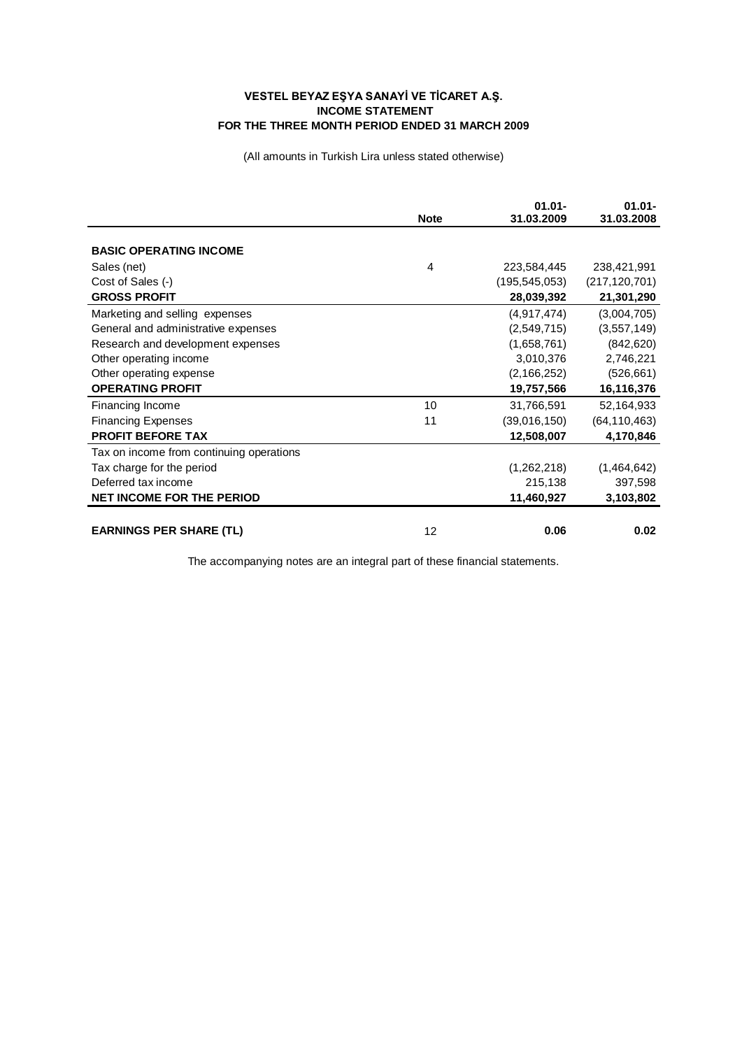## **VESTEL BEYAZ EŞYA SANAYİ VE TİCARET A.Ş. INCOME STATEMENT FOR THE THREE MONTH PERIOD ENDED 31 MARCH 2009**

(All amounts in Turkish Lira unless stated otherwise)

|                                          | <b>Note</b> | $01.01 -$<br>31.03.2009 | $01.01 -$<br>31.03.2008 |
|------------------------------------------|-------------|-------------------------|-------------------------|
|                                          |             |                         |                         |
| <b>BASIC OPERATING INCOME</b>            |             |                         |                         |
| Sales (net)                              | 4           | 223,584,445             | 238,421,991             |
| Cost of Sales (-)                        |             | (195, 545, 053)         | (217, 120, 701)         |
| <b>GROSS PROFIT</b>                      |             | 28,039,392              | 21,301,290              |
| Marketing and selling expenses           |             | (4,917,474)             | (3,004,705)             |
| General and administrative expenses      |             | (2,549,715)             | (3,557,149)             |
| Research and development expenses        |             | (1,658,761)             | (842, 620)              |
| Other operating income                   |             | 3,010,376               | 2,746,221               |
| Other operating expense                  |             | (2, 166, 252)           | (526, 661)              |
| <b>OPERATING PROFIT</b>                  |             | 19,757,566              | 16,116,376              |
| Financing Income                         | 10          | 31,766,591              | 52,164,933              |
| <b>Financing Expenses</b>                | 11          | (39,016,150)            | (64, 110, 463)          |
| <b>PROFIT BEFORE TAX</b>                 |             | 12,508,007              | 4,170,846               |
| Tax on income from continuing operations |             |                         |                         |
| Tax charge for the period                |             | (1,262,218)             | (1,464,642)             |
| Deferred tax income                      |             | 215,138                 | 397,598                 |
| <b>NET INCOME FOR THE PERIOD</b>         |             | 11,460,927              | 3,103,802               |
|                                          |             |                         |                         |
| <b>EARNINGS PER SHARE (TL)</b>           | 12          | 0.06                    | 0.02                    |

The accompanying notes are an integral part of these financial statements.